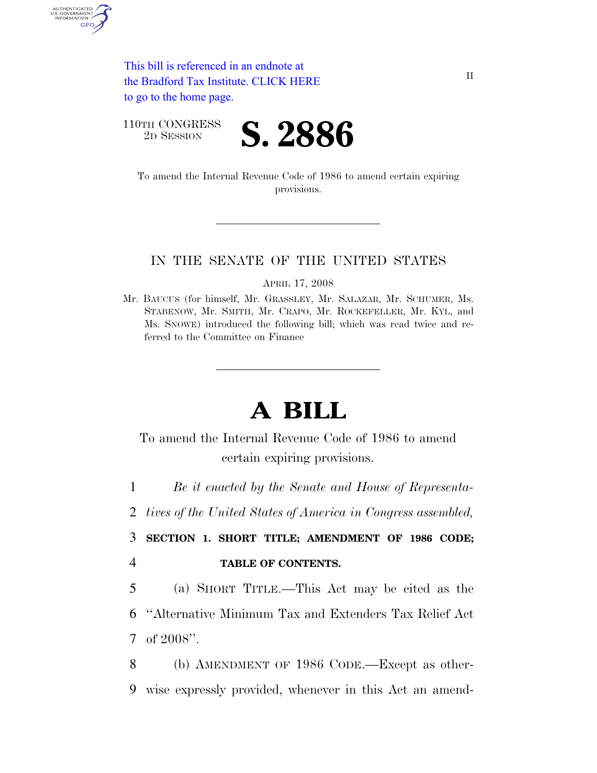This bill is referenced in an endnote at [the Bradford Tax Institute. CLICK HERE](http://www.bradfordtaxinstitute.com/)  to go to the home page.

110TH CONGRESS

AUTHENTICATED<br>U.S. GOVERNMENT<br>INFORMATION GPO



To amend the Internal Revenue Code of 1986 to amend certain expiring provisions.

#### IN THE SENATE OF THE UNITED STATES

APRIL 17, 2008

Mr. BAUCUS (for himself, Mr. GRASSLEY, Mr. SALAZAR, Mr. SCHUMER, Ms. STABENOW, Mr. SMITH, Mr. CRAPO, Mr. ROCKEFELLER, Mr. KYL, and Ms. SNOWE) introduced the following bill; which was read twice and referred to the Committee on Finance

# **A BILL**

To amend the Internal Revenue Code of 1986 to amend certain expiring provisions.

1 *Be it enacted by the Senate and House of Representa-*

2 *tives of the United States of America in Congress assembled,* 

3 **SECTION 1. SHORT TITLE; AMENDMENT OF 1986 CODE;**  4 **TABLE OF CONTENTS.** 

5 (a) SHORT TITLE.—This Act may be cited as the 6 ''Alternative Minimum Tax and Extenders Tax Relief Act 7 of 2008''.

8 (b) AMENDMENT OF 1986 CODE.—Except as other-9 wise expressly provided, whenever in this Act an amend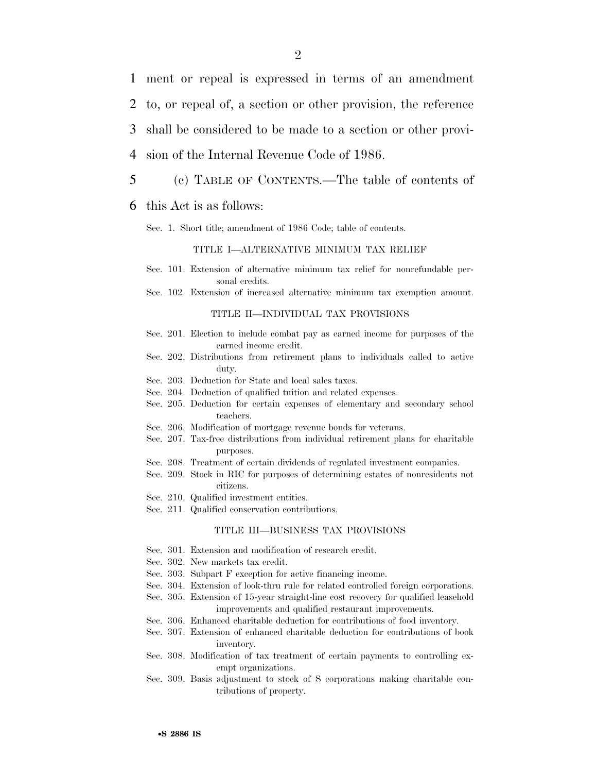1 ment or repeal is expressed in terms of an amendment

2 to, or repeal of, a section or other provision, the reference

3 shall be considered to be made to a section or other provi-

- 4 sion of the Internal Revenue Code of 1986.
- 5 (c) TABLE OF CONTENTS.—The table of contents of

#### 6 this Act is as follows:

Sec. 1. Short title; amendment of 1986 Code; table of contents.

#### TITLE I—ALTERNATIVE MINIMUM TAX RELIEF

- Sec. 101. Extension of alternative minimum tax relief for nonrefundable personal credits.
- Sec. 102. Extension of increased alternative minimum tax exemption amount.

#### TITLE II—INDIVIDUAL TAX PROVISIONS

- Sec. 201. Election to include combat pay as earned income for purposes of the earned income credit.
- Sec. 202. Distributions from retirement plans to individuals called to active duty.
- Sec. 203. Deduction for State and local sales taxes.
- Sec. 204. Deduction of qualified tuition and related expenses.
- Sec. 205. Deduction for certain expenses of elementary and secondary school teachers.
- Sec. 206. Modification of mortgage revenue bonds for veterans.
- Sec. 207. Tax-free distributions from individual retirement plans for charitable purposes.
- Sec. 208. Treatment of certain dividends of regulated investment companies.
- Sec. 209. Stock in RIC for purposes of determining estates of nonresidents not citizens.
- Sec. 210. Qualified investment entities.
- Sec. 211. Qualified conservation contributions.

#### TITLE III—BUSINESS TAX PROVISIONS

- Sec. 301. Extension and modification of research credit.
- Sec. 302. New markets tax credit.
- Sec. 303. Subpart F exception for active financing income.
- Sec. 304. Extension of look-thru rule for related controlled foreign corporations.
- Sec. 305. Extension of 15-year straight-line cost recovery for qualified leasehold improvements and qualified restaurant improvements.
- Sec. 306. Enhanced charitable deduction for contributions of food inventory.
- Sec. 307. Extension of enhanced charitable deduction for contributions of book inventory.
- Sec. 308. Modification of tax treatment of certain payments to controlling exempt organizations.
- Sec. 309. Basis adjustment to stock of S corporations making charitable contributions of property.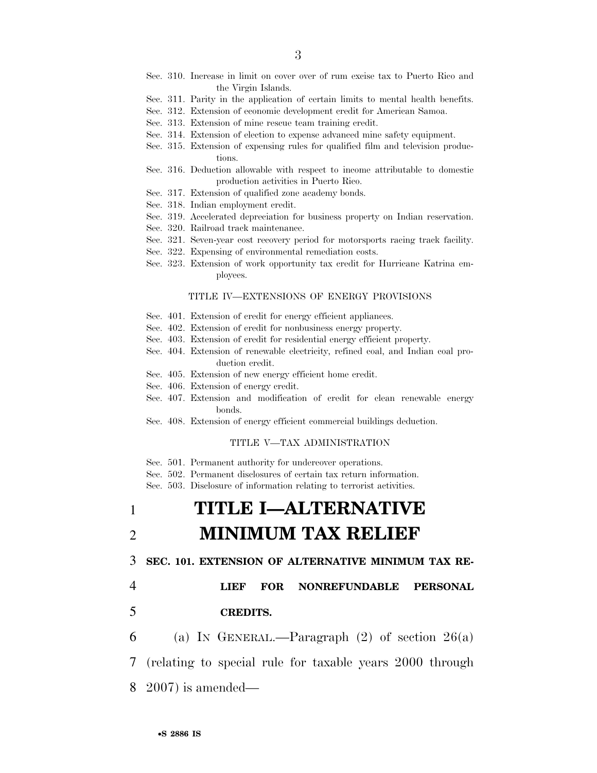- Sec. 310. Increase in limit on cover over of rum excise tax to Puerto Rico and the Virgin Islands.
- Sec. 311. Parity in the application of certain limits to mental health benefits.
- Sec. 312. Extension of economic development credit for American Samoa.
- Sec. 313. Extension of mine rescue team training credit.
- Sec. 314. Extension of election to expense advanced mine safety equipment.
- Sec. 315. Extension of expensing rules for qualified film and television productions.
- Sec. 316. Deduction allowable with respect to income attributable to domestic production activities in Puerto Rico.
- Sec. 317. Extension of qualified zone academy bonds.
- Sec. 318. Indian employment credit.
- Sec. 319. Accelerated depreciation for business property on Indian reservation.
- Sec. 320. Railroad track maintenance.
- Sec. 321. Seven-year cost recovery period for motorsports racing track facility.
- Sec. 322. Expensing of environmental remediation costs.
- Sec. 323. Extension of work opportunity tax credit for Hurricane Katrina employees.

#### TITLE IV—EXTENSIONS OF ENERGY PROVISIONS

- Sec. 401. Extension of credit for energy efficient appliances.
- Sec. 402. Extension of credit for nonbusiness energy property.
- Sec. 403. Extension of credit for residential energy efficient property.
- Sec. 404. Extension of renewable electricity, refined coal, and Indian coal production credit.
- Sec. 405. Extension of new energy efficient home credit.
- Sec. 406. Extension of energy credit.
- Sec. 407. Extension and modification of credit for clean renewable energy bonds.
- Sec. 408. Extension of energy efficient commercial buildings deduction.

#### TITLE V—TAX ADMINISTRATION

- Sec. 501. Permanent authority for undercover operations.
- Sec. 502. Permanent disclosures of certain tax return information.

Sec. 503. Disclosure of information relating to terrorist activities.

## 1 **TITLE I—ALTERNATIVE**  2 **MINIMUM TAX RELIEF**

3 **SEC. 101. EXTENSION OF ALTERNATIVE MINIMUM TAX RE-**

#### 4 **LIEF FOR NONREFUNDABLE PERSONAL**

#### 5 **CREDITS.**

6 (a) IN GENERAL.—Paragraph  $(2)$  of section  $26(a)$ 

7 (relating to special rule for taxable years 2000 through

8 2007) is amended—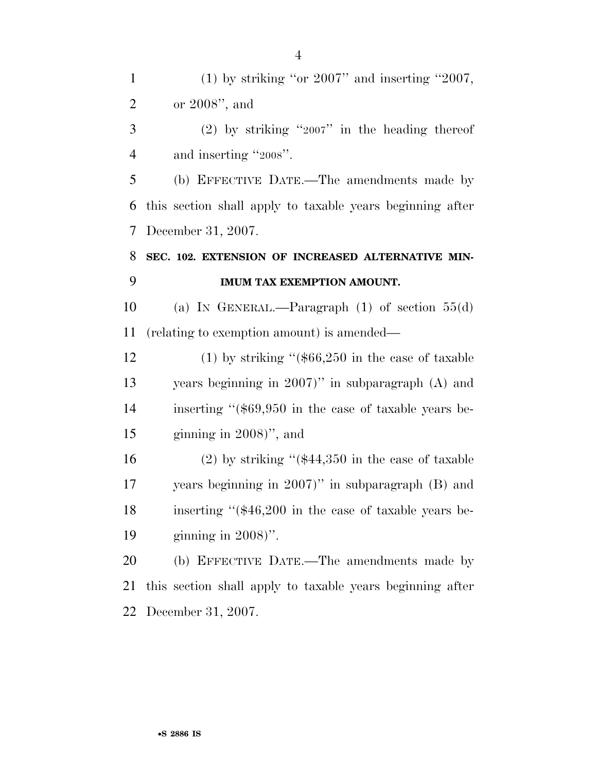1 (1) by striking "or " and inserting " $2007$ , or 2008'', and

 (2) by striking "2007" in the heading thereof 4 and inserting "2008".

 (b) EFFECTIVE DATE.—The amendments made by this section shall apply to taxable years beginning after December 31, 2007.

### **SEC. 102. EXTENSION OF INCREASED ALTERNATIVE MIN-IMUM TAX EXEMPTION AMOUNT.**

 (a) IN GENERAL.—Paragraph (1) of section 55(d) (relating to exemption amount) is amended—

12 (1) by striking "(\$66,250 in the case of taxable years beginning in 2007)'' in subparagraph (A) and inserting ''(\$69,950 in the case of taxable years be-ginning in 2008)'', and

 (2) by striking ''(\$44,350 in the case of taxable years beginning in 2007)'' in subparagraph (B) and inserting ''(\$46,200 in the case of taxable years be-ginning in 2008)''.

 (b) EFFECTIVE DATE.—The amendments made by this section shall apply to taxable years beginning after December 31, 2007.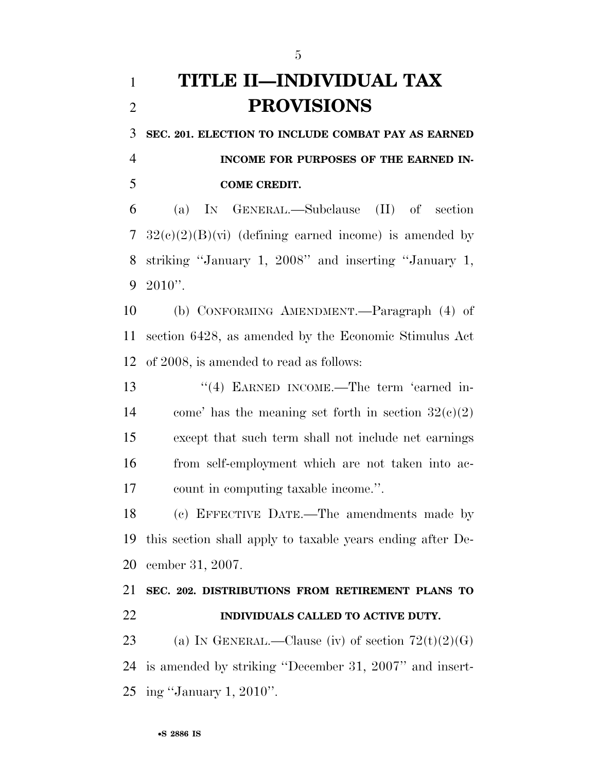# **TITLE II—INDIVIDUAL TAX PROVISIONS**

**SEC. 201. ELECTION TO INCLUDE COMBAT PAY AS EARNED** 

 **INCOME FOR PURPOSES OF THE EARNED IN-COME CREDIT.** 

 (a) IN GENERAL.—Subclause (II) of section  $32(e)(2)(B)(vi)$  (defining earned income) is amended by striking ''January 1, 2008'' and inserting ''January 1, 2010''.

 (b) CONFORMING AMENDMENT.—Paragraph (4) of section 6428, as amended by the Economic Stimulus Act of 2008, is amended to read as follows:

13 "(4) EARNED INCOME.—The term 'earned in-14 come' has the meaning set forth in section  $32(c)(2)$  except that such term shall not include net earnings from self-employment which are not taken into ac-count in computing taxable income.''.

 (c) EFFECTIVE DATE.—The amendments made by this section shall apply to taxable years ending after De-cember 31, 2007.

 **SEC. 202. DISTRIBUTIONS FROM RETIREMENT PLANS TO INDIVIDUALS CALLED TO ACTIVE DUTY.** 

23 (a) IN GENERAL.—Clause (iv) of section  $72(t)(2)(G)$  is amended by striking ''December 31, 2007'' and insert-ing ''January 1, 2010''.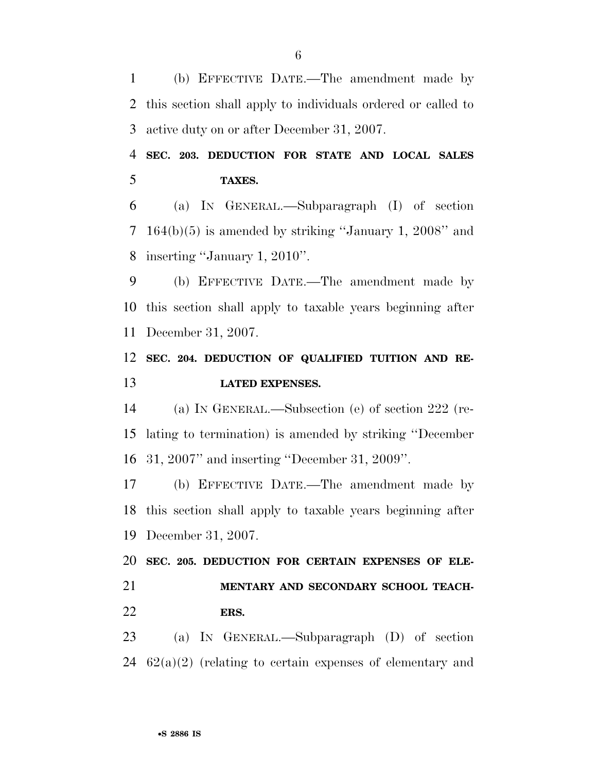(b) EFFECTIVE DATE.—The amendment made by this section shall apply to individuals ordered or called to active duty on or after December 31, 2007.

 **SEC. 203. DEDUCTION FOR STATE AND LOCAL SALES TAXES.** 

 (a) IN GENERAL.—Subparagraph (I) of section 164(b)(5) is amended by striking ''January 1, 2008'' and inserting ''January 1, 2010''.

 (b) EFFECTIVE DATE.—The amendment made by this section shall apply to taxable years beginning after December 31, 2007.

### **SEC. 204. DEDUCTION OF QUALIFIED TUITION AND RE-LATED EXPENSES.**

 (a) IN GENERAL.—Subsection (e) of section 222 (re- lating to termination) is amended by striking ''December 31, 2007'' and inserting ''December 31, 2009''.

 (b) EFFECTIVE DATE.—The amendment made by this section shall apply to taxable years beginning after December 31, 2007.

 **SEC. 205. DEDUCTION FOR CERTAIN EXPENSES OF ELE- MENTARY AND SECONDARY SCHOOL TEACH-ERS.** 

 (a) IN GENERAL.—Subparagraph (D) of section 24  $62(a)(2)$  (relating to certain expenses of elementary and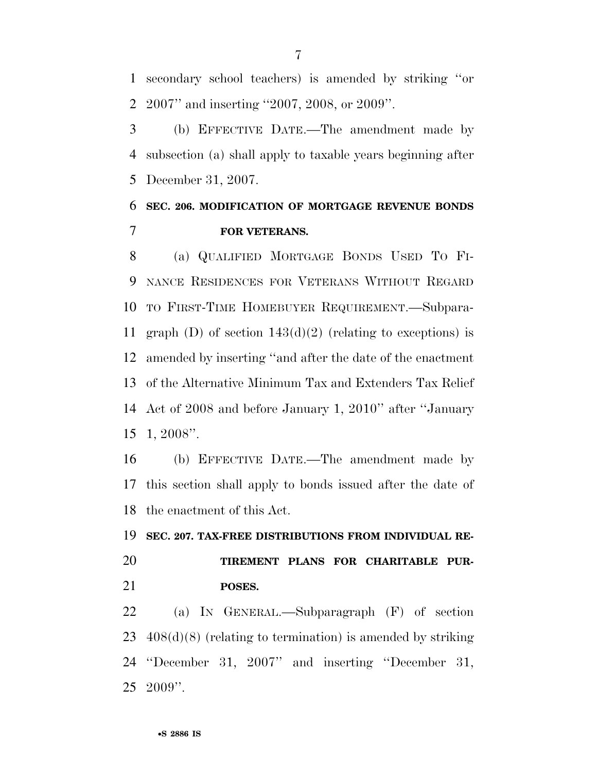secondary school teachers) is amended by striking ''or 2007'' and inserting ''2007, 2008, or 2009''.

 (b) EFFECTIVE DATE.—The amendment made by subsection (a) shall apply to taxable years beginning after December 31, 2007.

### **SEC. 206. MODIFICATION OF MORTGAGE REVENUE BONDS FOR VETERANS.**

 (a) QUALIFIED MORTGAGE BONDS USED TO FI- NANCE RESIDENCES FOR VETERANS WITHOUT REGARD TO FIRST-TIME HOMEBUYER REQUIREMENT.—Subpara-11 graph (D) of section  $143(d)(2)$  (relating to exceptions) is amended by inserting ''and after the date of the enactment of the Alternative Minimum Tax and Extenders Tax Relief Act of 2008 and before January 1, 2010'' after ''January 1, 2008''.

 (b) EFFECTIVE DATE.—The amendment made by this section shall apply to bonds issued after the date of the enactment of this Act.

# **SEC. 207. TAX-FREE DISTRIBUTIONS FROM INDIVIDUAL RE- TIREMENT PLANS FOR CHARITABLE PUR-POSES.**

 (a) IN GENERAL.—Subparagraph (F) of section 408(d)(8) (relating to termination) is amended by striking ''December 31, 2007'' and inserting ''December 31, 2009''.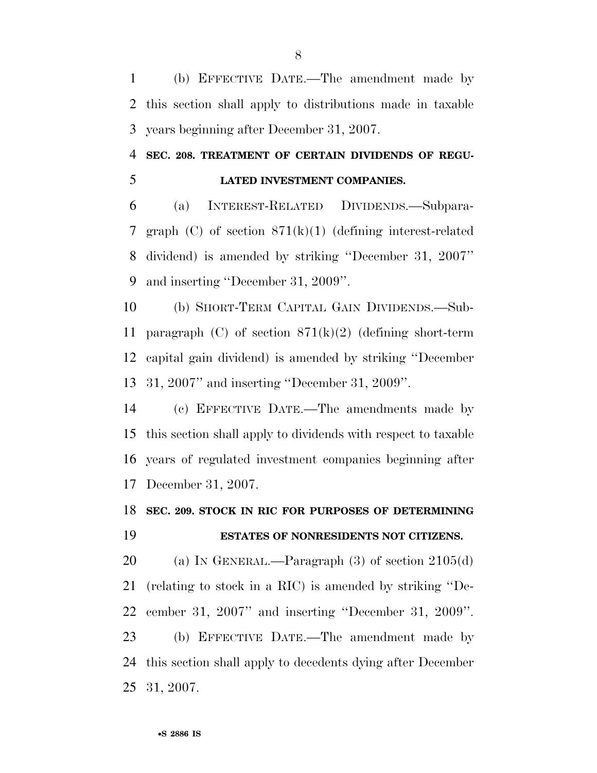(b) EFFECTIVE DATE.—The amendment made by this section shall apply to distributions made in taxable years beginning after December 31, 2007.

### **SEC. 208. TREATMENT OF CERTAIN DIVIDENDS OF REGU-LATED INVESTMENT COMPANIES.**

 (a) INTEREST-RELATED DIVIDENDS.—Subpara- graph (C) of section 871(k)(1) (defining interest-related dividend) is amended by striking ''December 31, 2007'' and inserting ''December 31, 2009''.

 (b) SHORT-TERM CAPITAL GAIN DIVIDENDS.—Sub-11 paragraph (C) of section  $871(k)(2)$  (defining short-term capital gain dividend) is amended by striking ''December 31, 2007'' and inserting ''December 31, 2009''.

 (c) EFFECTIVE DATE.—The amendments made by this section shall apply to dividends with respect to taxable years of regulated investment companies beginning after December 31, 2007.

### **SEC. 209. STOCK IN RIC FOR PURPOSES OF DETERMINING ESTATES OF NONRESIDENTS NOT CITIZENS.**

 (a) IN GENERAL.—Paragraph (3) of section 2105(d) (relating to stock in a RIC) is amended by striking ''De- cember 31, 2007'' and inserting ''December 31, 2009''. (b) EFFECTIVE DATE.—The amendment made by this section shall apply to decedents dying after December 31, 2007.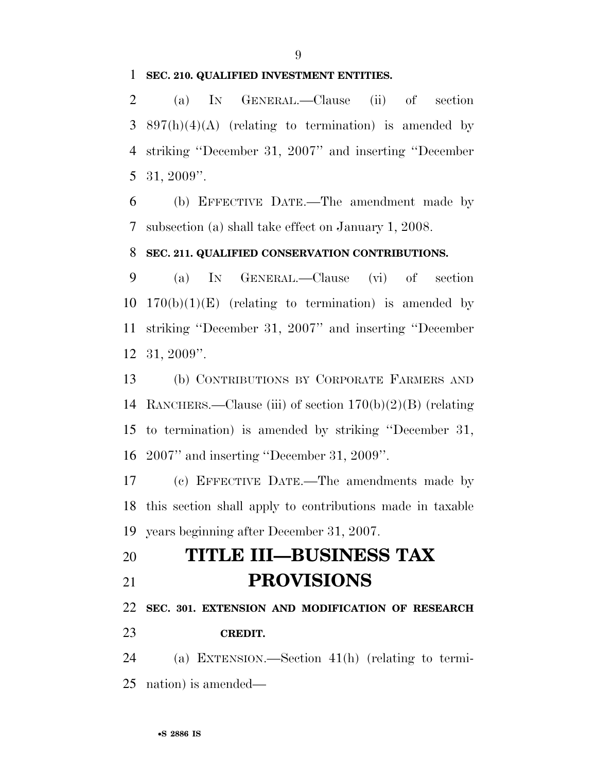#### **SEC. 210. QUALIFIED INVESTMENT ENTITIES.**

 (a) IN GENERAL.—Clause (ii) of section  $3\quad897(h)(4)(A)$  (relating to termination) is amended by striking ''December 31, 2007'' and inserting ''December 31, 2009''.

 (b) EFFECTIVE DATE.—The amendment made by subsection (a) shall take effect on January 1, 2008.

### **SEC. 211. QUALIFIED CONSERVATION CONTRIBUTIONS.**

 (a) IN GENERAL.—Clause (vi) of section  $170(b)(1)(E)$  (relating to termination) is amended by striking ''December 31, 2007'' and inserting ''December 31, 2009''.

 (b) CONTRIBUTIONS BY CORPORATE FARMERS AND RANCHERS.—Clause (iii) of section 170(b)(2)(B) (relating to termination) is amended by striking ''December 31, 2007'' and inserting ''December 31, 2009''.

 (c) EFFECTIVE DATE.—The amendments made by this section shall apply to contributions made in taxable years beginning after December 31, 2007.

## **TITLE III—BUSINESS TAX PROVISIONS**

**SEC. 301. EXTENSION AND MODIFICATION OF RESEARCH** 

### **CREDIT.**

 (a) EXTENSION.—Section 41(h) (relating to termi-nation) is amended—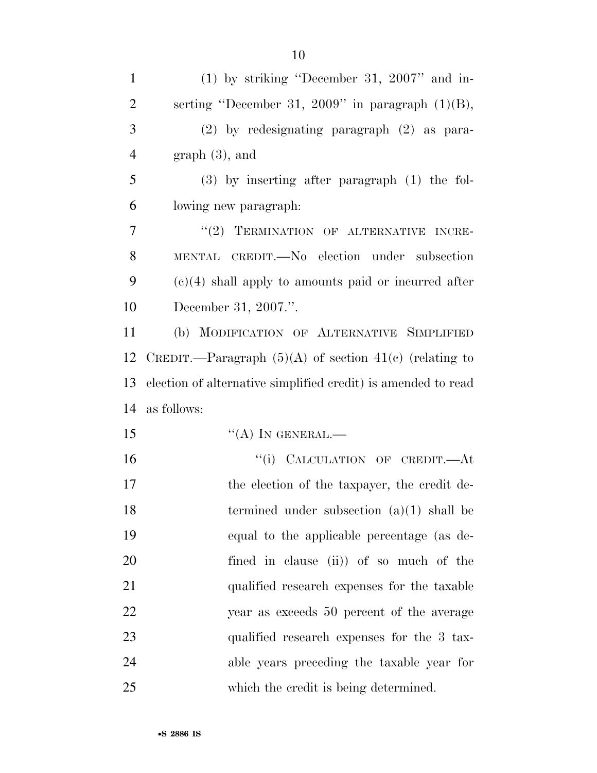| $\mathbf{1}$   | $(1)$ by striking "December 31, 2007" and in-                 |
|----------------|---------------------------------------------------------------|
| $\overline{2}$ | serting "December 31, 2009" in paragraph $(1)(B)$ ,           |
| 3              | (2) by redesignating paragraph (2) as para-                   |
| $\overline{4}$ | $graph(3)$ , and                                              |
| 5              | $(3)$ by inserting after paragraph $(1)$ the fol-             |
| 6              | lowing new paragraph.                                         |
| $\overline{7}$ | "(2) TERMINATION OF ALTERNATIVE INCRE-                        |
| 8              | MENTAL CREDIT. No election under subsection                   |
| 9              | $(e)(4)$ shall apply to amounts paid or incurred after        |
| 10             | December 31, 2007.".                                          |
| 11             | (b) MODIFICATION OF ALTERNATIVE SIMPLIFIED                    |
| 12             | CREDIT.—Paragraph $(5)(A)$ of section 41(c) (relating to      |
| 13             | election of alternative simplified credit) is amended to read |
| 14             | as follows:                                                   |
| 15             | $``(A)$ IN GENERAL.—                                          |
| 16             | "(i) CALCULATION OF CREDIT.—At                                |
| 17             | the election of the taxpayer, the credit de-                  |
| 18             | termined under subsection $(a)(1)$ shall be                   |
| 19             | equal to the applicable percentage (as de-                    |
| 20             | fined in clause (ii) of so much of the                        |
| 21             | qualified research expenses for the taxable                   |
| 22             | year as exceeds 50 percent of the average                     |
| 23             | qualified research expenses for the 3 tax-                    |
| 24             | able years preceding the taxable year for                     |
| 25             | which the credit is being determined.                         |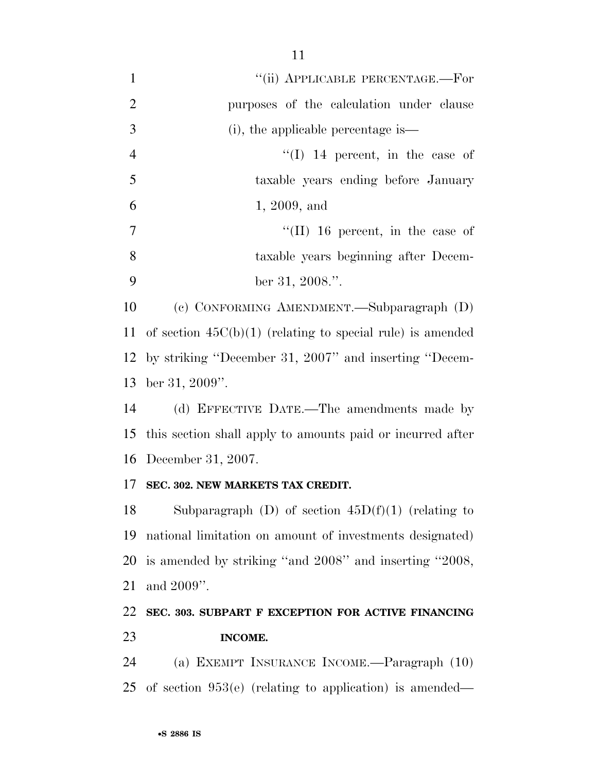| $\mathbf{1}$   | "(ii) APPLICABLE PERCENTAGE.-For                             |
|----------------|--------------------------------------------------------------|
| $\overline{2}$ | purposes of the calculation under clause                     |
| 3              | $(i)$ , the applicable percentage is—                        |
| $\overline{4}$ | $\lq (I)$ 14 percent, in the case of                         |
| 5              | taxable years ending before January                          |
| 6              | 1, 2009, and                                                 |
| 7              | "(II) 16 percent, in the case of                             |
| 8              | taxable years beginning after Decem-                         |
| 9              | ber 31, 2008.".                                              |
| 10             | (c) CONFORMING AMENDMENT.—Subparagraph (D)                   |
| 11             | of section $45C(b)(1)$ (relating to special rule) is amended |
|                | 12 by striking "December 31, 2007" and inserting "Decem-     |
| 13             | ber 31, 2009".                                               |
| 14             | (d) EFFECTIVE DATE.—The amendments made by                   |
| 15             | this section shall apply to amounts paid or incurred after   |
|                | 16 December 31, 2007.                                        |
| 17             | SEC. 302. NEW MARKETS TAX CREDIT.                            |
| 18             | Subparagraph (D) of section $45D(f)(1)$ (relating to         |
| 19             | national limitation on amount of investments designated)     |
| 20             | is amended by striking "and 2008" and inserting "2008,       |
| 21             | and 2009".                                                   |
| 22             | SEC. 303. SUBPART F EXCEPTION FOR ACTIVE FINANCING           |
| 23             | INCOME.                                                      |
| 24             | (a) EXEMPT INSURANCE INCOME.—Paragraph (10)                  |
| 25             | of section $953(e)$ (relating to application) is amended—    |
|                |                                                              |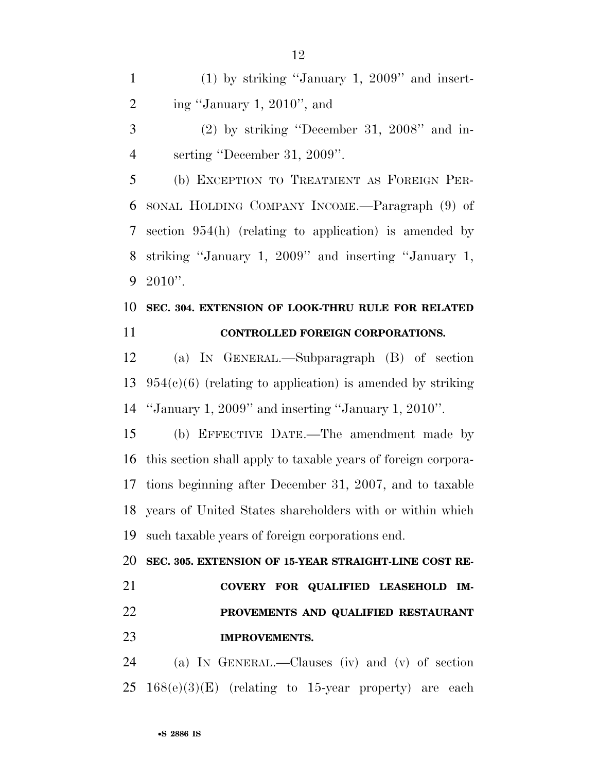(1) by striking ''January 1, 2009'' and insert-2 ing "January 1, 2010", and

 (2) by striking ''December 31, 2008'' and in-serting ''December 31, 2009''.

 (b) EXCEPTION TO TREATMENT AS FOREIGN PER- SONAL HOLDING COMPANY INCOME.—Paragraph (9) of section 954(h) (relating to application) is amended by striking ''January 1, 2009'' and inserting ''January 1, 2010''.

### **SEC. 304. EXTENSION OF LOOK-THRU RULE FOR RELATED CONTROLLED FOREIGN CORPORATIONS.**

 (a) IN GENERAL.—Subparagraph (B) of section 13  $954(c)(6)$  (relating to application) is amended by striking ''January 1, 2009'' and inserting ''January 1, 2010''.

 (b) EFFECTIVE DATE.—The amendment made by this section shall apply to taxable years of foreign corpora- tions beginning after December 31, 2007, and to taxable years of United States shareholders with or within which such taxable years of foreign corporations end.

 **SEC. 305. EXTENSION OF 15-YEAR STRAIGHT-LINE COST RE- COVERY FOR QUALIFIED LEASEHOLD IM- PROVEMENTS AND QUALIFIED RESTAURANT IMPROVEMENTS.** 

 (a) IN GENERAL.—Clauses (iv) and (v) of section 25  $168(e)(3)(E)$  (relating to 15-year property) are each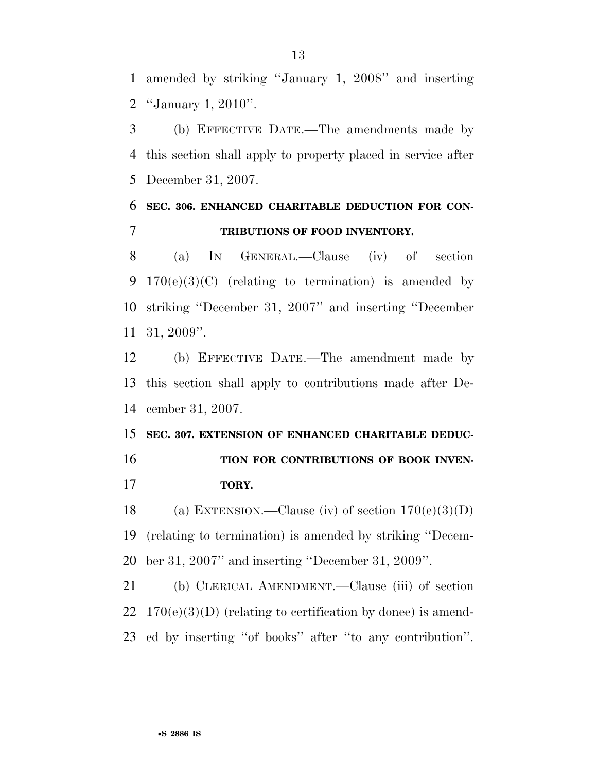amended by striking ''January 1, 2008'' and inserting ''January 1, 2010''.

 (b) EFFECTIVE DATE.—The amendments made by this section shall apply to property placed in service after December 31, 2007.

### **SEC. 306. ENHANCED CHARITABLE DEDUCTION FOR CON-TRIBUTIONS OF FOOD INVENTORY.**

 (a) IN GENERAL.—Clause (iv) of section 9 170(e)(3)(C) (relating to termination) is amended by striking ''December 31, 2007'' and inserting ''December 31, 2009''.

 (b) EFFECTIVE DATE.—The amendment made by this section shall apply to contributions made after De-cember 31, 2007.

 **SEC. 307. EXTENSION OF ENHANCED CHARITABLE DEDUC-TION FOR CONTRIBUTIONS OF BOOK INVEN-TORY.** 

18 (a) EXTENSION.—Clause (iv) of section  $170(e)(3)(D)$  (relating to termination) is amended by striking ''Decem-ber 31, 2007'' and inserting ''December 31, 2009''.

 (b) CLERICAL AMENDMENT.—Clause (iii) of section 22  $170(e)(3)(D)$  (relating to certification by donee) is amend-ed by inserting ''of books'' after ''to any contribution''.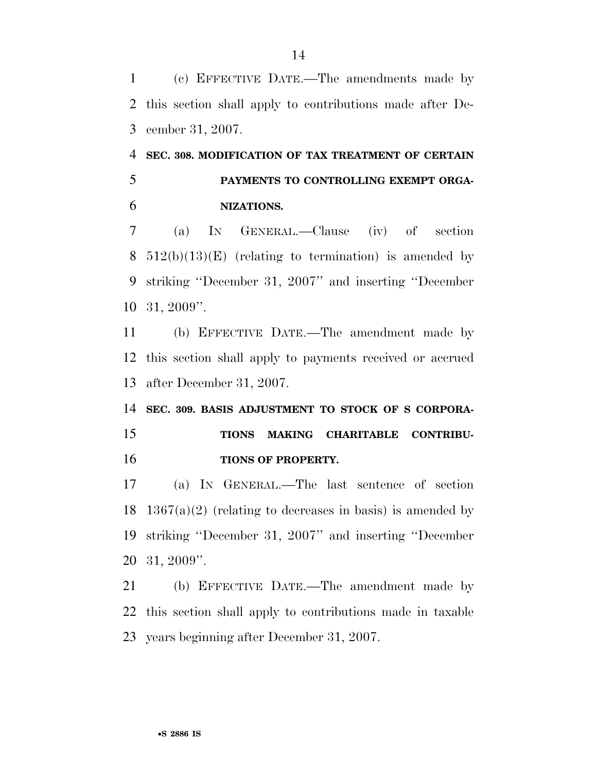(c) EFFECTIVE DATE.—The amendments made by this section shall apply to contributions made after De-cember 31, 2007.

# **SEC. 308. MODIFICATION OF TAX TREATMENT OF CERTAIN PAYMENTS TO CONTROLLING EXEMPT ORGA-NIZATIONS.**

 (a) IN GENERAL.—Clause (iv) of section 8 512(b)(13)(E) (relating to termination) is amended by striking ''December 31, 2007'' and inserting ''December 31, 2009''.

 (b) EFFECTIVE DATE.—The amendment made by this section shall apply to payments received or accrued after December 31, 2007.

# **SEC. 309. BASIS ADJUSTMENT TO STOCK OF S CORPORA- TIONS MAKING CHARITABLE CONTRIBU-TIONS OF PROPERTY.**

 (a) IN GENERAL.—The last sentence of section 18 1367(a)(2) (relating to decreases in basis) is amended by striking ''December 31, 2007'' and inserting ''December 31, 2009''.

 (b) EFFECTIVE DATE.—The amendment made by this section shall apply to contributions made in taxable years beginning after December 31, 2007.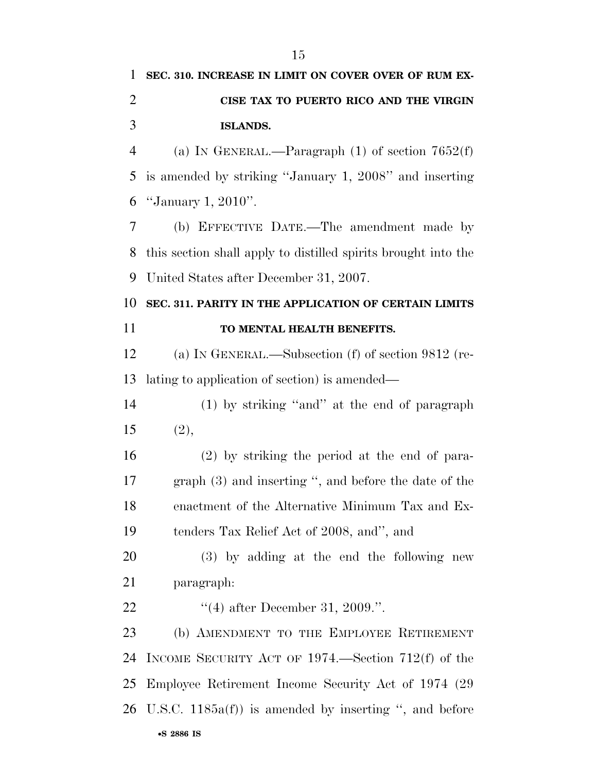| 1              | SEC. 310. INCREASE IN LIMIT ON COVER OVER OF RUM EX-           |
|----------------|----------------------------------------------------------------|
| $\overline{2}$ | CISE TAX TO PUERTO RICO AND THE VIRGIN                         |
| 3              | <b>ISLANDS.</b>                                                |
| $\overline{4}$ | (a) IN GENERAL.—Paragraph $(1)$ of section $7652(f)$           |
| 5              | is amended by striking "January 1, 2008" and inserting         |
| 6              | "January 1, 2010".                                             |
| 7              | (b) EFFECTIVE DATE.—The amendment made by                      |
| 8              | this section shall apply to distilled spirits brought into the |
| 9              | United States after December 31, 2007.                         |
| 10             | SEC. 311. PARITY IN THE APPLICATION OF CERTAIN LIMITS          |
| 11             | TO MENTAL HEALTH BENEFITS.                                     |
| 12             | (a) IN GENERAL.—Subsection $(f)$ of section 9812 (re-          |
| 13             | lating to application of section) is amended—                  |
| 14             | $(1)$ by striking "and" at the end of paragraph                |
| 15             | (2),                                                           |
| 16             | (2) by striking the period at the end of para-                 |
| 17             | graph $(3)$ and inserting ", and before the date of the        |
| 18             | enactment of the Alternative Minimum Tax and Ex-               |
| 19             | tenders Tax Relief Act of 2008, and", and                      |
| 20             | (3) by adding at the end the following new                     |
| 21             | paragraph:                                                     |
| 22             | "(4) after December 31, 2009.".                                |
| 23             | (b) AMENDMENT TO THE EMPLOYEE RETIREMENT                       |
| 24             | INCOME SECURITY ACT OF $1974$ . Section 712(f) of the          |
| 25             | Employee Retirement Income Security Act of 1974 (29)           |
| 26             | U.S.C. $1185a(f)$ is amended by inserting ", and before        |
|                | •S 2886 IS                                                     |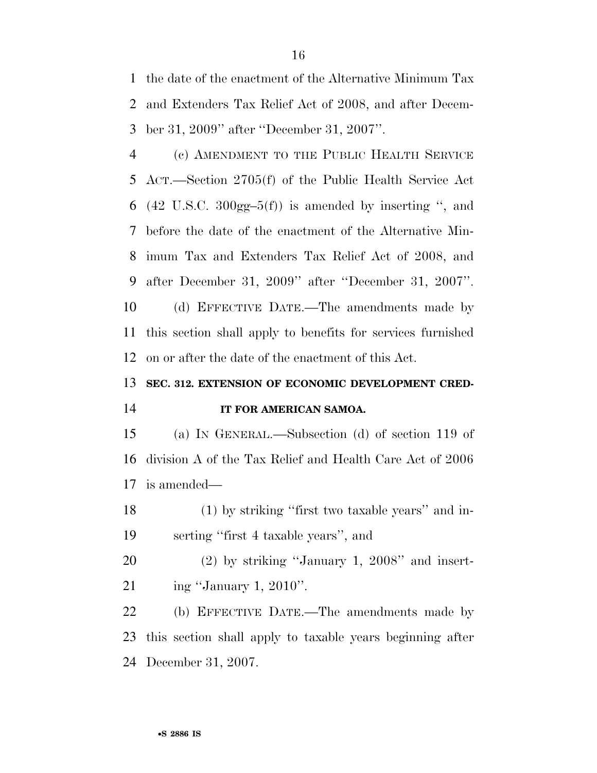the date of the enactment of the Alternative Minimum Tax and Extenders Tax Relief Act of 2008, and after Decem-ber 31, 2009'' after ''December 31, 2007''.

 (c) AMENDMENT TO THE PUBLIC HEALTH SERVICE ACT.—Section 2705(f) of the Public Health Service Act 6 (42 U.S.C. 300gg-5(f)) is amended by inserting ", and before the date of the enactment of the Alternative Min- imum Tax and Extenders Tax Relief Act of 2008, and after December 31, 2009'' after ''December 31, 2007''. (d) EFFECTIVE DATE.—The amendments made by this section shall apply to benefits for services furnished on or after the date of the enactment of this Act.

### **SEC. 312. EXTENSION OF ECONOMIC DEVELOPMENT CRED-IT FOR AMERICAN SAMOA.**

 (a) IN GENERAL.—Subsection (d) of section 119 of division A of the Tax Relief and Health Care Act of 2006 is amended—

 (1) by striking ''first two taxable years'' and in-serting ''first 4 taxable years'', and

 (2) by striking ''January 1, 2008'' and insert-ing ''January 1, 2010''.

 (b) EFFECTIVE DATE.—The amendments made by this section shall apply to taxable years beginning after December 31, 2007.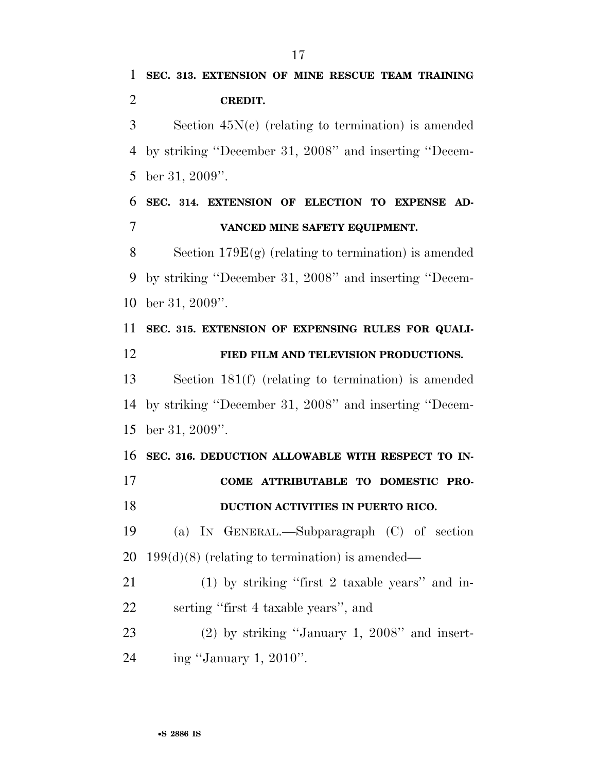Section 45N(e) (relating to termination) is amended by striking ''December 31, 2008'' and inserting ''Decem-ber 31, 2009''.

 **SEC. 314. EXTENSION OF ELECTION TO EXPENSE AD-VANCED MINE SAFETY EQUIPMENT.** 

 Section 179E(g) (relating to termination) is amended by striking ''December 31, 2008'' and inserting ''Decem-ber 31, 2009''.

 **SEC. 315. EXTENSION OF EXPENSING RULES FOR QUALI- FIED FILM AND TELEVISION PRODUCTIONS.**  Section 181(f) (relating to termination) is amended by striking ''December 31, 2008'' and inserting ''Decem-

ber 31, 2009''.

 **SEC. 316. DEDUCTION ALLOWABLE WITH RESPECT TO IN- COME ATTRIBUTABLE TO DOMESTIC PRO-DUCTION ACTIVITIES IN PUERTO RICO.** 

 (a) IN GENERAL.—Subparagraph (C) of section 20 199(d)(8) (relating to termination) is amended—

 (1) by striking ''first 2 taxable years'' and in-serting ''first 4 taxable years'', and

 (2) by striking ''January 1, 2008'' and insert-ing ''January 1, 2010''.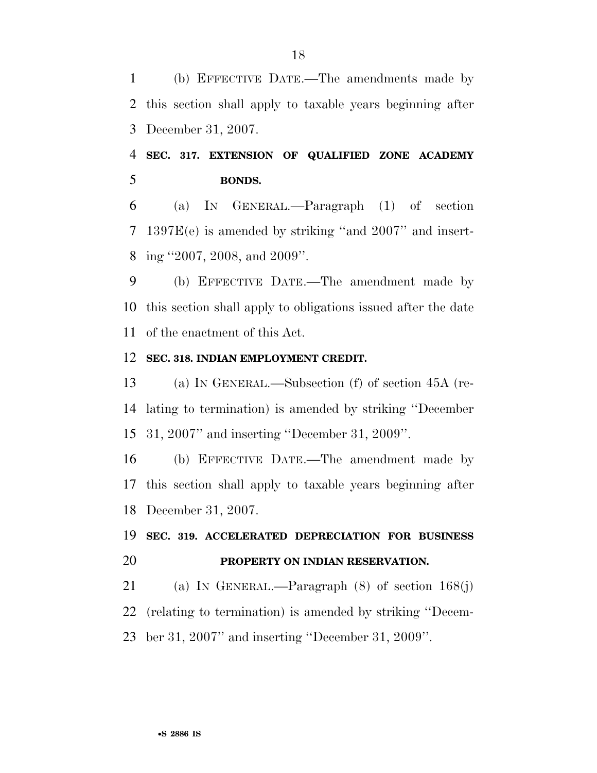(b) EFFECTIVE DATE.—The amendments made by this section shall apply to taxable years beginning after December 31, 2007.

### **SEC. 317. EXTENSION OF QUALIFIED ZONE ACADEMY BONDS.**

 (a) IN GENERAL.—Paragraph (1) of section 1397E(e) is amended by striking ''and 2007'' and insert-ing ''2007, 2008, and 2009''.

 (b) EFFECTIVE DATE.—The amendment made by this section shall apply to obligations issued after the date of the enactment of this Act.

#### **SEC. 318. INDIAN EMPLOYMENT CREDIT.**

 (a) IN GENERAL.—Subsection (f) of section 45A (re- lating to termination) is amended by striking ''December 31, 2007'' and inserting ''December 31, 2009''.

 (b) EFFECTIVE DATE.—The amendment made by this section shall apply to taxable years beginning after December 31, 2007.

## **SEC. 319. ACCELERATED DEPRECIATION FOR BUSINESS PROPERTY ON INDIAN RESERVATION.**

 (a) IN GENERAL.—Paragraph (8) of section 168(j) (relating to termination) is amended by striking ''Decem-ber 31, 2007'' and inserting ''December 31, 2009''.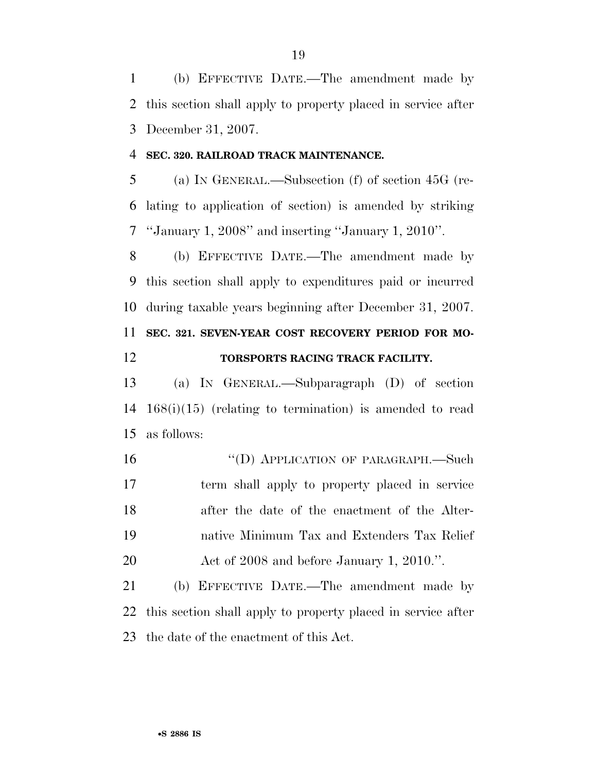(b) EFFECTIVE DATE.—The amendment made by this section shall apply to property placed in service after December 31, 2007.

#### **SEC. 320. RAILROAD TRACK MAINTENANCE.**

 (a) IN GENERAL.—Subsection (f) of section 45G (re- lating to application of section) is amended by striking ''January 1, 2008'' and inserting ''January 1, 2010''.

 (b) EFFECTIVE DATE.—The amendment made by this section shall apply to expenditures paid or incurred during taxable years beginning after December 31, 2007.

# **SEC. 321. SEVEN-YEAR COST RECOVERY PERIOD FOR MO-**

### **TORSPORTS RACING TRACK FACILITY.**

 (a) IN GENERAL.—Subparagraph (D) of section 168(i)(15) (relating to termination) is amended to read as follows:

16 "(D) APPLICATION OF PARAGRAPH.—Such term shall apply to property placed in service after the date of the enactment of the Alter- native Minimum Tax and Extenders Tax Relief Act of 2008 and before January 1, 2010.''.

 (b) EFFECTIVE DATE.—The amendment made by this section shall apply to property placed in service after the date of the enactment of this Act.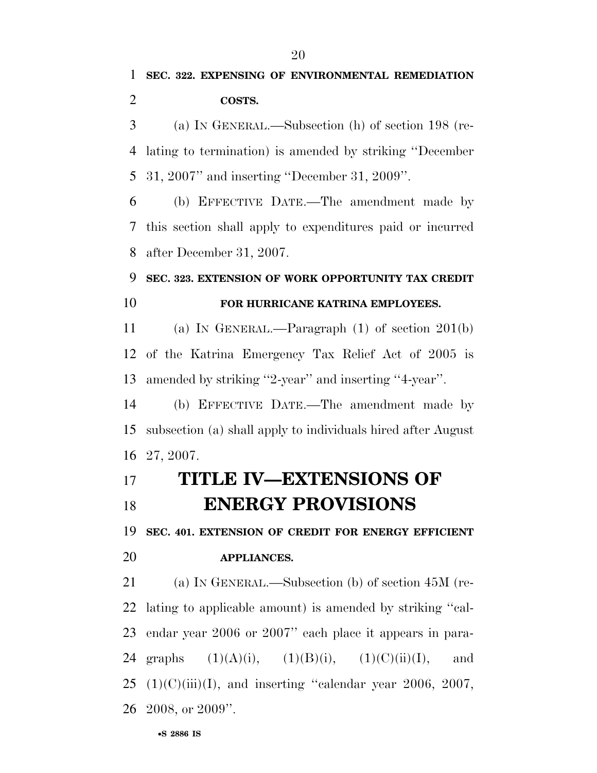(a) IN GENERAL.—Subsection (h) of section 198 (re- lating to termination) is amended by striking ''December 31, 2007'' and inserting ''December 31, 2009''.

 (b) EFFECTIVE DATE.—The amendment made by this section shall apply to expenditures paid or incurred after December 31, 2007.

### **SEC. 323. EXTENSION OF WORK OPPORTUNITY TAX CREDIT**

### **FOR HURRICANE KATRINA EMPLOYEES.**

 (a) IN GENERAL.—Paragraph (1) of section 201(b) of the Katrina Emergency Tax Relief Act of 2005 is amended by striking ''2-year'' and inserting ''4-year''.

 (b) EFFECTIVE DATE.—The amendment made by subsection (a) shall apply to individuals hired after August 27, 2007.

# **TITLE IV—EXTENSIONS OF ENERGY PROVISIONS**

 **SEC. 401. EXTENSION OF CREDIT FOR ENERGY EFFICIENT APPLIANCES.** 

 (a) IN GENERAL.—Subsection (b) of section 45M (re- lating to applicable amount) is amended by striking ''cal- endar year 2006 or 2007'' each place it appears in para-24 graphs  $(1)(A)(i)$ ,  $(1)(B)(i)$ ,  $(1)(C)(ii)(I)$ , and (1)(C)(iii)(I), and inserting "calendar year 2006, 2007, 2008, or 2009''.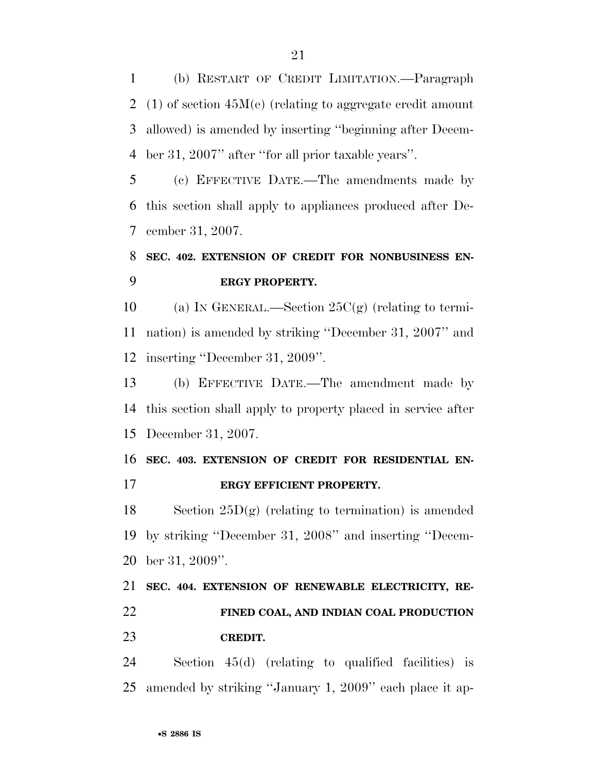(b) RESTART OF CREDIT LIMITATION.—Paragraph (1) of section 45M(e) (relating to aggregate credit amount allowed) is amended by inserting ''beginning after Decem-ber 31, 2007'' after ''for all prior taxable years''.

 (c) EFFECTIVE DATE.—The amendments made by this section shall apply to appliances produced after De-cember 31, 2007.

### **SEC. 402. EXTENSION OF CREDIT FOR NONBUSINESS EN-ERGY PROPERTY.**

10 (a) IN GENERAL.—Section  $25C(g)$  (relating to termi- nation) is amended by striking ''December 31, 2007'' and inserting ''December 31, 2009''.

 (b) EFFECTIVE DATE.—The amendment made by this section shall apply to property placed in service after December 31, 2007.

 **SEC. 403. EXTENSION OF CREDIT FOR RESIDENTIAL EN-ERGY EFFICIENT PROPERTY.** 

18 Section  $25D(g)$  (relating to termination) is amended by striking ''December 31, 2008'' and inserting ''Decem-ber 31, 2009''.

 **SEC. 404. EXTENSION OF RENEWABLE ELECTRICITY, RE- FINED COAL, AND INDIAN COAL PRODUCTION CREDIT.** 

 Section 45(d) (relating to qualified facilities) is amended by striking ''January 1, 2009'' each place it ap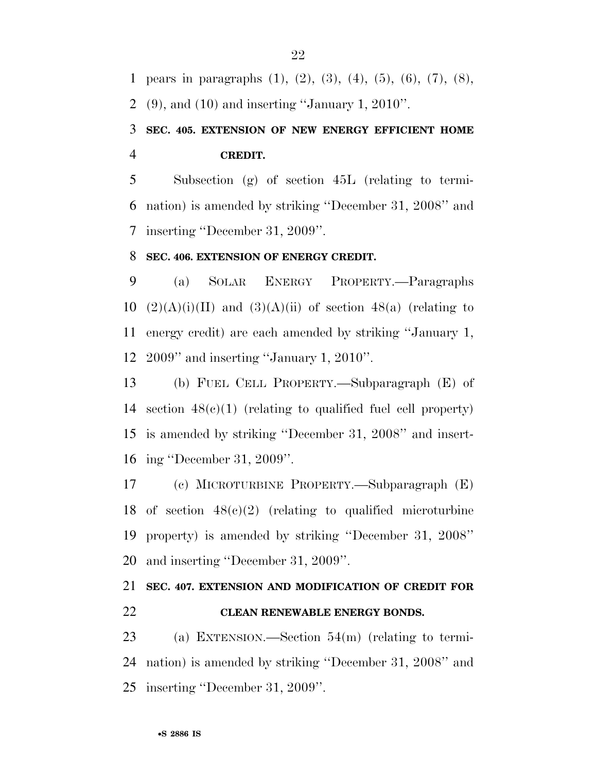pears in paragraphs (1), (2), (3), (4), (5), (6), (7), (8),

(9), and (10) and inserting ''January 1, 2010''.

### **SEC. 405. EXTENSION OF NEW ENERGY EFFICIENT HOME CREDIT.**

 Subsection (g) of section 45L (relating to termi- nation) is amended by striking ''December 31, 2008'' and inserting ''December 31, 2009''.

### **SEC. 406. EXTENSION OF ENERGY CREDIT.**

 (a) SOLAR ENERGY PROPERTY.—Paragraphs  $(2)(A)(i)(II)$  and  $(3)(A)(ii)$  of section 48(a) (relating to energy credit) are each amended by striking ''January 1, 2009'' and inserting ''January 1, 2010''.

 (b) FUEL CELL PROPERTY.—Subparagraph (E) of section 48(c)(1) (relating to qualified fuel cell property) is amended by striking ''December 31, 2008'' and insert-ing ''December 31, 2009''.

 (c) MICROTURBINE PROPERTY.—Subparagraph (E) 18 of section  $48(c)(2)$  (relating to qualified microturbine property) is amended by striking ''December 31, 2008'' and inserting ''December 31, 2009''.

### **SEC. 407. EXTENSION AND MODIFICATION OF CREDIT FOR CLEAN RENEWABLE ENERGY BONDS.**

 (a) EXTENSION.—Section 54(m) (relating to termi- nation) is amended by striking ''December 31, 2008'' and inserting ''December 31, 2009''.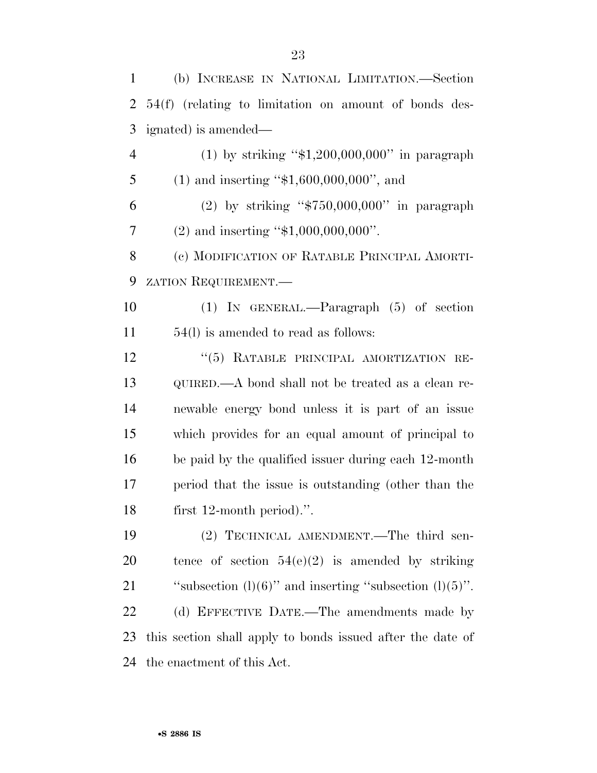(b) INCREASE IN NATIONAL LIMITATION.—Section 54(f) (relating to limitation on amount of bonds des- ignated) is amended— (1) by striking ''\$1,200,000,000'' in paragraph 5 (1) and inserting "\$1,600,000,000", and (2) by striking ''\$750,000,000'' in paragraph 7 (2) and inserting "\$1,000,000,000". (c) MODIFICATION OF RATABLE PRINCIPAL AMORTI- ZATION REQUIREMENT.— (1) IN GENERAL.—Paragraph (5) of section 54(l) is amended to read as follows: 12 "(5) RATABLE PRINCIPAL AMORTIZATION RE- QUIRED.—A bond shall not be treated as a clean re- newable energy bond unless it is part of an issue which provides for an equal amount of principal to be paid by the qualified issuer during each 12-month period that the issue is outstanding (other than the first 12-month period).''. (2) TECHNICAL AMENDMENT.—The third sen-20 tence of section  $54(e)(2)$  is amended by striking 21 "subsection  $(l)(6)$ " and inserting "subsection  $(l)(5)$ ". 22 (d) EFFECTIVE DATE.—The amendments made by this section shall apply to bonds issued after the date of the enactment of this Act.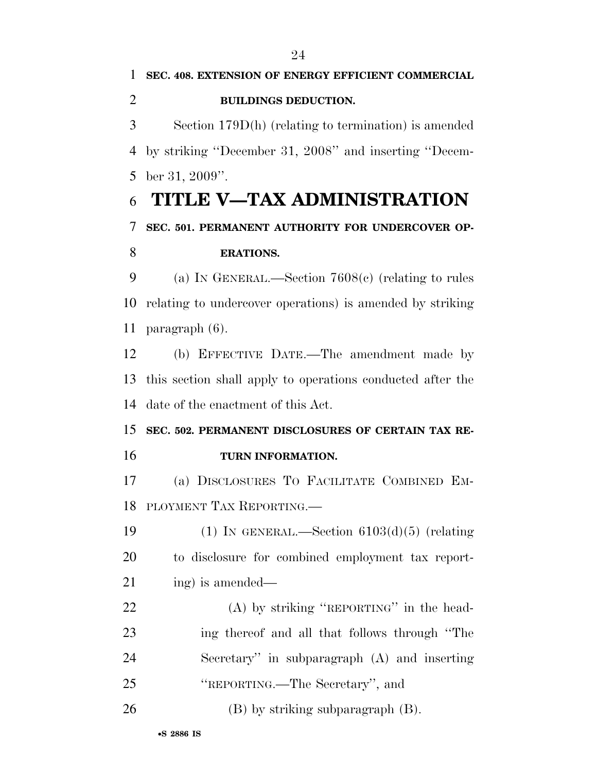Section 179D(h) (relating to termination) is amended by striking ''December 31, 2008'' and inserting ''Decem-ber 31, 2009''.

# **TITLE V—TAX ADMINISTRATION**

### **SEC. 501. PERMANENT AUTHORITY FOR UNDERCOVER OP-**

### **ERATIONS.**

 (a) IN GENERAL.—Section 7608(c) (relating to rules relating to undercover operations) is amended by striking paragraph (6).

 (b) EFFECTIVE DATE.—The amendment made by this section shall apply to operations conducted after the date of the enactment of this Act.

 **SEC. 502. PERMANENT DISCLOSURES OF CERTAIN TAX RE-TURN INFORMATION.** 

 (a) DISCLOSURES TO FACILITATE COMBINED EM-PLOYMENT TAX REPORTING.—

19  $(1)$  In GENERAL.—Section  $6103(d)(5)$  (relating to disclosure for combined employment tax report-21 ing is amended—

22 (A) by striking "REPORTING" in the head- ing thereof and all that follows through ''The Secretary'' in subparagraph (A) and inserting ''REPORTING.—The Secretary'', and

26 (B) by striking subparagraph (B).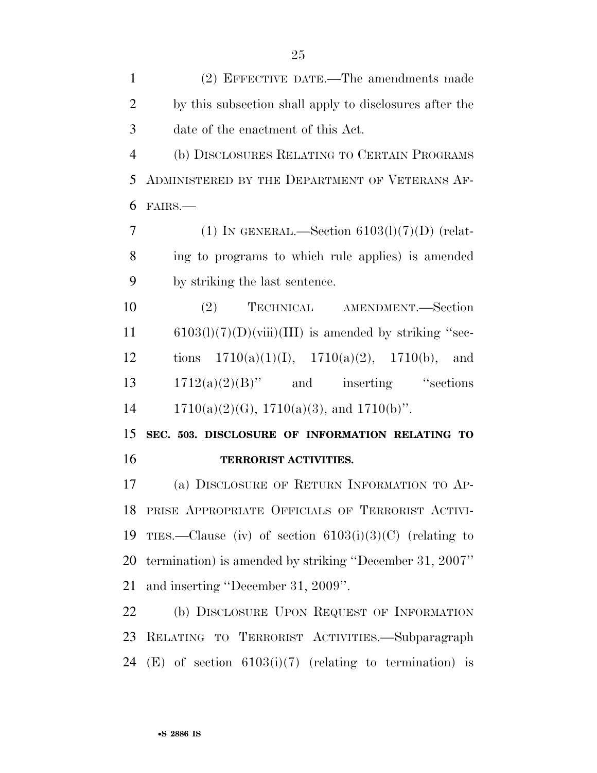(2) EFFECTIVE DATE.—The amendments made by this subsection shall apply to disclosures after the date of the enactment of this Act. (b) DISCLOSURES RELATING TO CERTAIN PROGRAMS ADMINISTERED BY THE DEPARTMENT OF VETERANS AF- FAIRS.— 7 (1) IN GENERAL.—Section  $6103(1)(7)(D)$  (relat- ing to programs to which rule applies) is amended by striking the last sentence. (2) TECHNICAL AMENDMENT.—Section 6103(l)(7)(D)(viii)(III) is amended by striking "sec-12 tions  $1710(a)(1)(1)$ ,  $1710(a)(2)$ ,  $1710(b)$ , and

 $13 \qquad 1712(a)(2)(B)''$  and inserting "sections" 14 1710(a)(2)(G), 1710(a)(3), and 1710(b)".

 **SEC. 503. DISCLOSURE OF INFORMATION RELATING TO TERRORIST ACTIVITIES.** 

 (a) DISCLOSURE OF RETURN INFORMATION TO AP- PRISE APPROPRIATE OFFICIALS OF TERRORIST ACTIVI-19 TIES.—Clause (iv) of section  $6103(i)(3)(C)$  (relating to termination) is amended by striking ''December 31, 2007'' and inserting ''December 31, 2009''.

 (b) DISCLOSURE UPON REQUEST OF INFORMATION RELATING TO TERRORIST ACTIVITIES.—Subparagraph 24 (E) of section  $6103(i)(7)$  (relating to termination) is